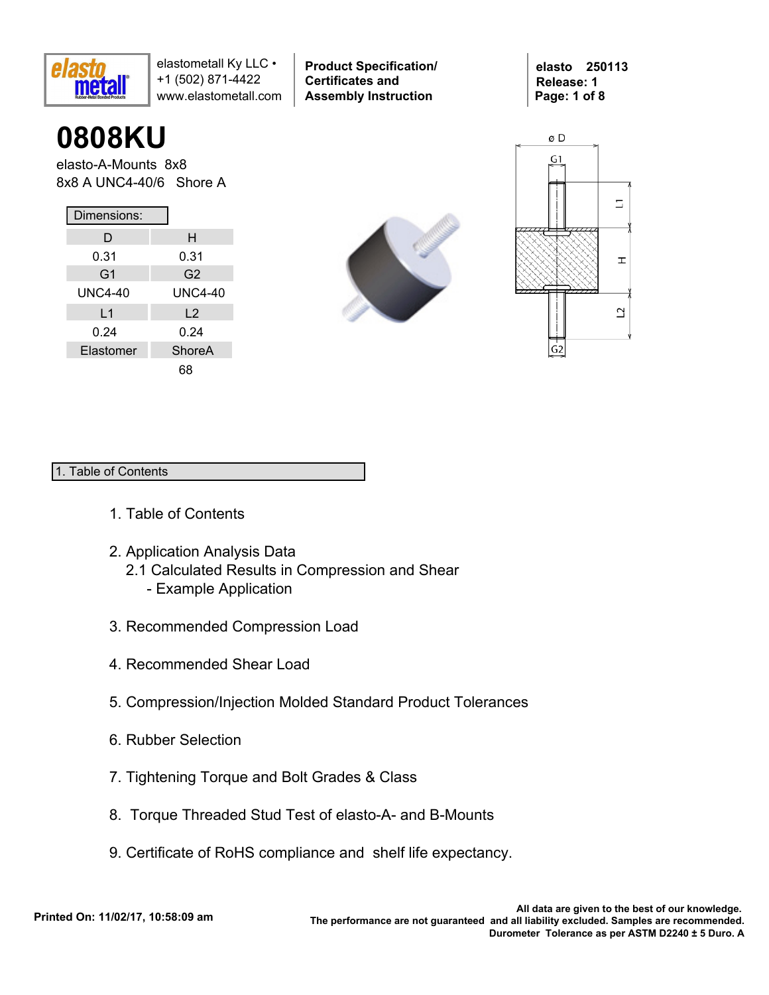

**0808KU**

elasto-A-Mounts 8x8 8x8 A UNC4-40/6 Shore A

| Dimensions:    |                |  |  |  |  |  |  |  |
|----------------|----------------|--|--|--|--|--|--|--|
| D              | н              |  |  |  |  |  |  |  |
| 0.31           | 0.31           |  |  |  |  |  |  |  |
| G <sub>1</sub> | G <sub>2</sub> |  |  |  |  |  |  |  |
| UNC4-40        | UNC4-40        |  |  |  |  |  |  |  |
| L1             | $\mathsf{L}2$  |  |  |  |  |  |  |  |
| 0.24           | 0.24           |  |  |  |  |  |  |  |
| Elastomer      | ShoreA         |  |  |  |  |  |  |  |
|                | 68             |  |  |  |  |  |  |  |



**Product Specification/** 

**Certificates and Assembly Instruction**





#### 1. Table of Contents

- 1. Table of Contents
- 2. Application Analysis Data
	- 2.1 Calculated Results in Compression and Shear
		- Example Application
- 3. Recommended Compression Load
- 4. Recommended Shear Load
- 5. Compression/Injection Molded Standard Product Tolerances
- 6. Rubber Selection
- 7. Tightening Torque and Bolt Grades & Class
- 8. Torque Threaded Stud Test of elasto-A- and B-Mounts
- 9. Certificate of RoHS compliance and shelf life expectancy.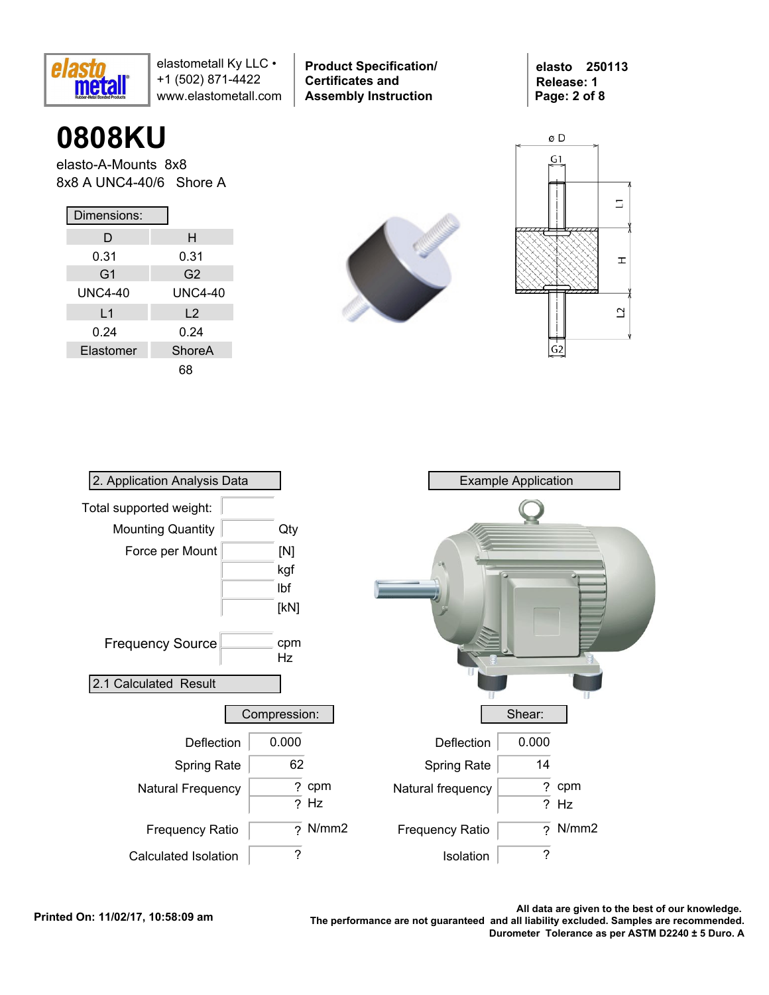

**Product Specification/ Certificates and Assembly Instruction**

**elasto 250113 Release: 1 Page: 2 of 8**

# **0808KU**

elasto-A-Mounts 8x8 8x8 A UNC4-40/6 Shore A

| Dimensions:    |               |  |  |  |  |  |  |  |
|----------------|---------------|--|--|--|--|--|--|--|
| D              | н             |  |  |  |  |  |  |  |
| 0.31           | 0.31          |  |  |  |  |  |  |  |
| G <sub>1</sub> | G2            |  |  |  |  |  |  |  |
| <b>UNC4-40</b> | UNC4-40       |  |  |  |  |  |  |  |
| L1             | $\mathsf{L}2$ |  |  |  |  |  |  |  |
| 0.24           | 0.24          |  |  |  |  |  |  |  |
| Elastomer      | ShoreA        |  |  |  |  |  |  |  |
|                |               |  |  |  |  |  |  |  |





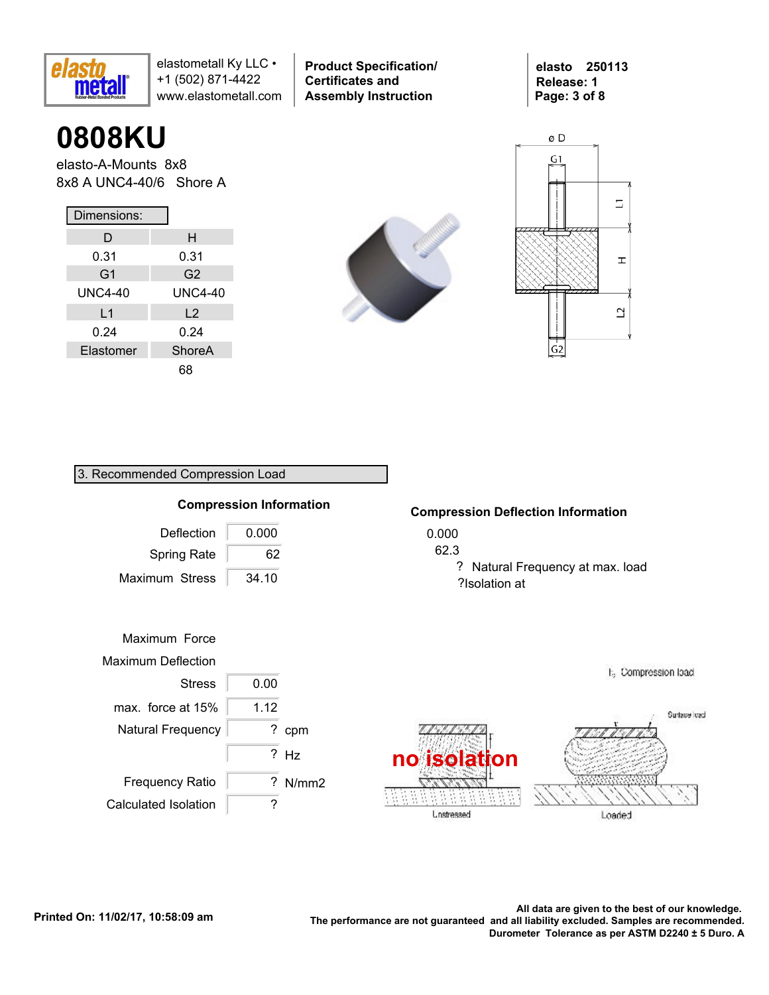

**0808KU**

elasto-A-Mounts 8x8 8x8 A UNC4-40/6 Shore A

| Dimensions:    |                |  |  |  |  |  |  |  |
|----------------|----------------|--|--|--|--|--|--|--|
| D              | н              |  |  |  |  |  |  |  |
| 0.31           | 0.31           |  |  |  |  |  |  |  |
| G <sub>1</sub> | G2             |  |  |  |  |  |  |  |
| UNC4-40        | <b>UNC4-40</b> |  |  |  |  |  |  |  |
| L <sub>1</sub> | L <sub>2</sub> |  |  |  |  |  |  |  |
| 0.24           | 0.24           |  |  |  |  |  |  |  |
| Elastomer      | ShoreA         |  |  |  |  |  |  |  |
|                | 68             |  |  |  |  |  |  |  |

3. Recommended Compression Load



**Product Specification/** 

**Certificates and Assembly Instruction**





# 0.000 62.3 ?Isolation at Deflection Frequency Ratio Maximum Stress 34.10 0.000 Maximum Force Maximum Deflection Stress 0.00 ? cpm ? N/mm2 **Compression Information** Natural Frequency ? Hz **no isolation** max. force at  $15\%$  | 1.12 Spring Rate 62

#### **Compression Deflection Information**

? Natural Frequency at max. load



E<sub>3</sub> Compression load

Calculated Isolation | ?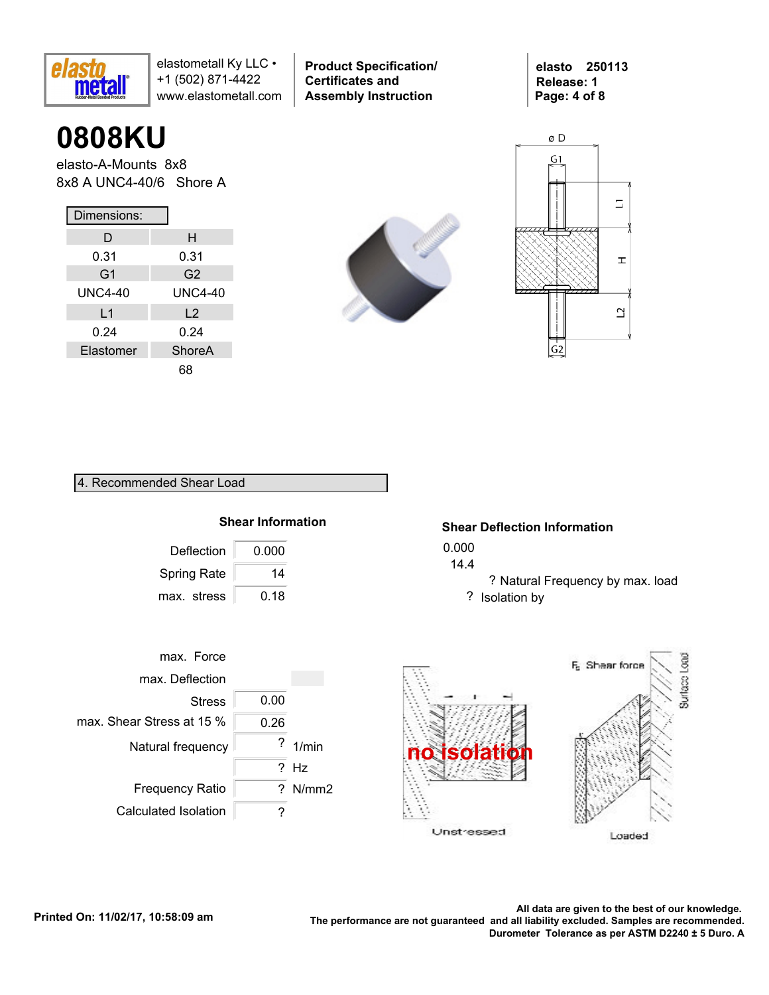

**0808KU**

elasto-A-Mounts 8x8 8x8 A UNC4-40/6 Shore A

| Dimensions:    |                |  |  |  |  |  |  |  |
|----------------|----------------|--|--|--|--|--|--|--|
| D              | н              |  |  |  |  |  |  |  |
| 0.31           | 0.31           |  |  |  |  |  |  |  |
| G <sub>1</sub> | G <sub>2</sub> |  |  |  |  |  |  |  |
| UNC4-40        | <b>UNC4-40</b> |  |  |  |  |  |  |  |
| L <sub>1</sub> | L <sub>2</sub> |  |  |  |  |  |  |  |
| 0.24           | 0.24           |  |  |  |  |  |  |  |
| Elastomer      | ShoreA         |  |  |  |  |  |  |  |
|                | 68             |  |  |  |  |  |  |  |



**Product Specification/** 

**Certificates and Assembly Instruction**





4. Recommended Shear Load

## **Shear Information**

| Deflection         | 0.000 |
|--------------------|-------|
| <b>Spring Rate</b> | 14    |
| max. stress        | 0.18  |

### **Shear Deflection Information**

- 0.000
- 14.4
	- ? Natural Frequency by max. load ? Isolation by

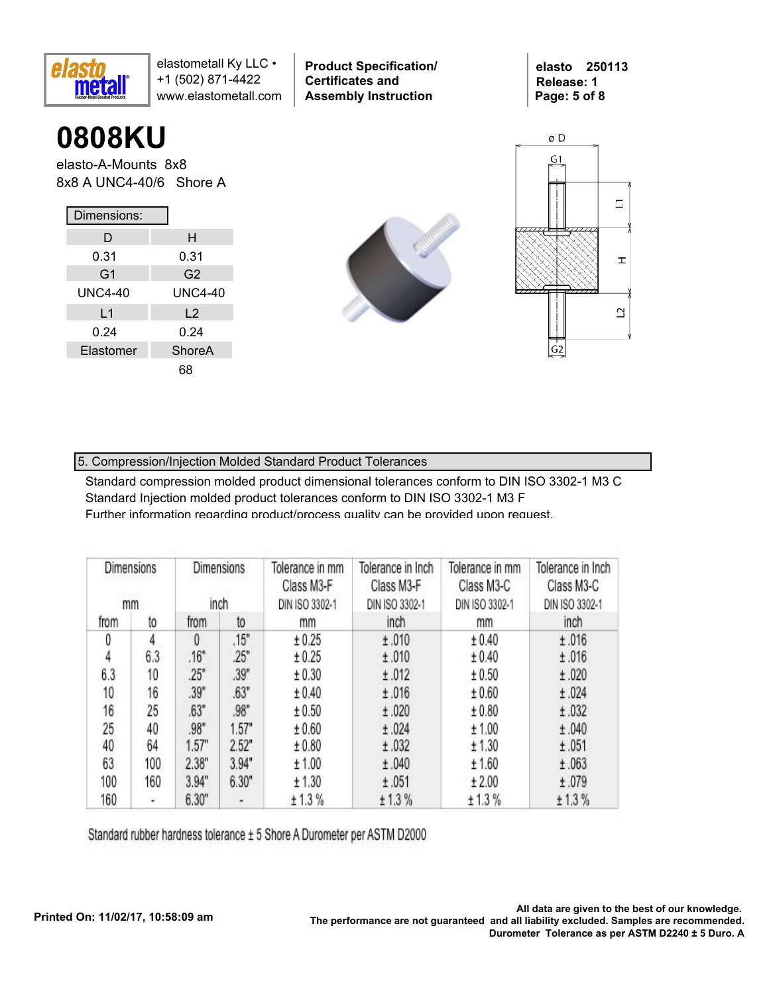

**0808KU**

elasto-A-Mounts 8x8 8x8 A UNC4-40/6 Shore A

| Dimensions:    |                |  |  |  |  |  |  |  |
|----------------|----------------|--|--|--|--|--|--|--|
| D              | н              |  |  |  |  |  |  |  |
| 0.31           | 0.31           |  |  |  |  |  |  |  |
| G <sub>1</sub> | G <sub>2</sub> |  |  |  |  |  |  |  |
| UNC4-40        | <b>UNC4-40</b> |  |  |  |  |  |  |  |
| L <sub>1</sub> | L <sub>2</sub> |  |  |  |  |  |  |  |
| 0.24           | 0.24           |  |  |  |  |  |  |  |
| Elastomer      | ShoreA         |  |  |  |  |  |  |  |
|                | 68             |  |  |  |  |  |  |  |



**Product Specification/** 

**Certificates and Assembly Instruction**



**elasto 250113 Release: 1**

**Page: 5 of 8**

## 5. Compression/Injection Molded Standard Product Tolerances

Standard compression molded product dimensional tolerances conform to DIN ISO 3302-1 M3 C Standard Injection molded product tolerances conform to DIN ISO 3302-1 M3 F Further information regarding product/process quality can be provided upon request.

| Dimensions<br>inch<br>mm |     | <b>Dimensions</b><br>Tolerance in mm<br>Tolerance in Inch<br>Class M3-F<br>Class M3-F<br>DIN ISO 3302-1<br>DIN ISO 3302-1 |       |        |        | Tolerance in mm<br>Class M3-C<br>DIN ISO 3302-1 | Tolerance in Inch<br>Class M3-C<br>DIN ISO 3302-1 |
|--------------------------|-----|---------------------------------------------------------------------------------------------------------------------------|-------|--------|--------|-------------------------------------------------|---------------------------------------------------|
| from                     | to  | from                                                                                                                      | to    | mm     | inch   | mm                                              | inch                                              |
| 0                        | 4   | 0                                                                                                                         | .15"  | ± 0.25 | ±.010  | ± 0.40                                          | ±.016                                             |
| 4                        | 6.3 | .16"                                                                                                                      | 25"   | ± 0.25 | ±.010  | ± 0.40                                          | ±.016                                             |
| 6.3                      | 10  | .25"                                                                                                                      | .39"  | ± 0.30 | ±.012  | ± 0.50                                          | ±.020                                             |
| 10                       | 16  | .39"                                                                                                                      | .63"  | ± 0.40 | ±.016  | ± 0.60                                          | ±.024                                             |
| 16                       | 25  | .63"                                                                                                                      | .98"  | ± 0.50 | ±.020  | ± 0.80                                          | ±.032                                             |
| 25                       | 40  | .98"                                                                                                                      | 1.57" | ± 0.60 | ±.024  | ± 1.00                                          | ±.040                                             |
| 40                       | 64  | 1.57"                                                                                                                     | 2.52" | ± 0.80 | ±.032  | ± 1.30                                          | ±.051                                             |
| 63                       | 100 | 2.38"                                                                                                                     | 3.94" | ± 1.00 | ±.040  | ± 1.60                                          | ±.063                                             |
| 100                      | 160 | 3.94"                                                                                                                     | 6.30" | ± 1.30 | ±.051  | ± 2.00                                          | ±.079                                             |
| 160                      | ۰   | 6.30"                                                                                                                     | ٠     | ± 1.3% | ± 1.3% | ± 1.3%                                          | ± 1.3%                                            |

Standard rubber hardness tolerance ± 5 Shore A Durometer per ASTM D2000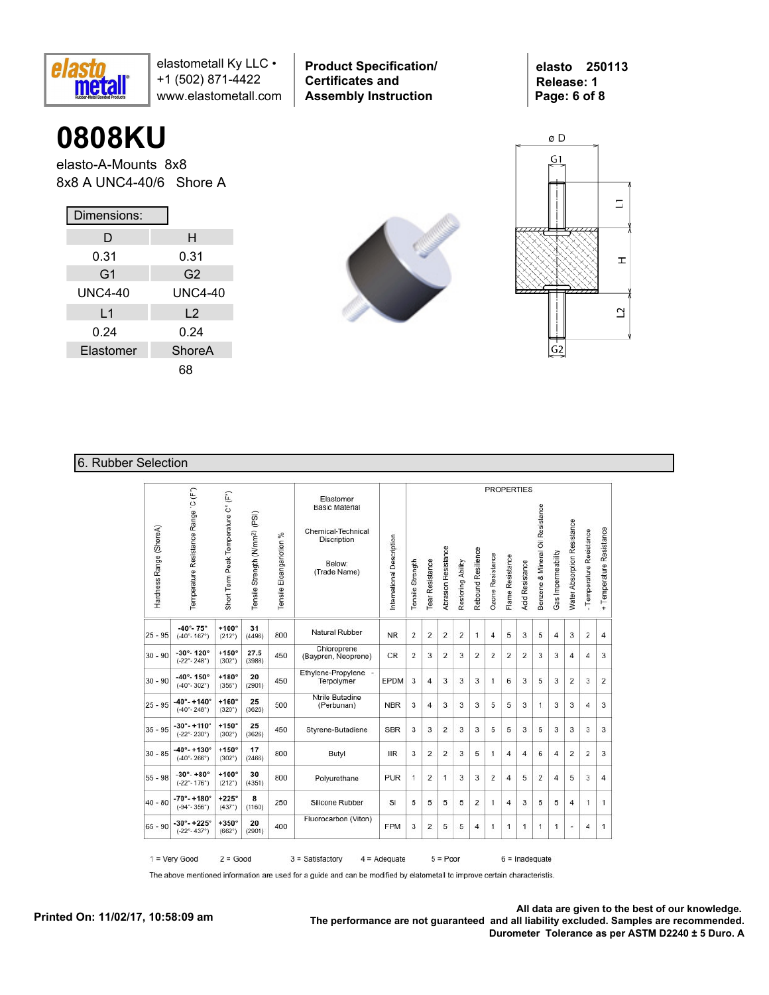

**Product Specification/ Certificates and Assembly Instruction**

**elasto 250113 Release: 1 Page: 6 of 8**

# **0808KU**

elasto-A-Mounts 8x8 8x8 A UNC4-40/6 Shore A

| Dimensions:    |                |  |  |  |  |  |  |
|----------------|----------------|--|--|--|--|--|--|
| D              | н              |  |  |  |  |  |  |
| 0.31           | 0.31           |  |  |  |  |  |  |
| G <sub>1</sub> | G2             |  |  |  |  |  |  |
| UNC4-40        | <b>UNC4-40</b> |  |  |  |  |  |  |
| L1             | L <sub>2</sub> |  |  |  |  |  |  |
| 0.24           | 0.24           |  |  |  |  |  |  |
| Elastomer      | ShoreA         |  |  |  |  |  |  |
|                | 68             |  |  |  |  |  |  |





## 6. Rubber Selection

|                         |                                                               |                                     |                                            |                                |                                                                                                          |                           |                  |                 |                            |                   |                    | <b>PROPERTIES</b>       |                  |                 |                                  |                    |                                    |                          |                          |
|-------------------------|---------------------------------------------------------------|-------------------------------------|--------------------------------------------|--------------------------------|----------------------------------------------------------------------------------------------------------|---------------------------|------------------|-----------------|----------------------------|-------------------|--------------------|-------------------------|------------------|-----------------|----------------------------------|--------------------|------------------------------------|--------------------------|--------------------------|
| Hardness Range (ShoreA) | Temperature Resistance Range 'C (F")                          | Short Term Peak Temperature C° (F°) | Tensile Strength (N/mm <sup>2)</sup> (PSI) | $\%$<br>Tensile Eloangariotion | Elastomer<br><b>Basic Material</b><br>Chemical-Technical<br><b>Discription</b><br>Below:<br>(Trade Name) | International Description | Tensile Strength | Tear Resistance | <b>Abrasion Resistance</b> | Restoring Ability | Rebound Resilience | <b>Ozone Resistance</b> | Flame Resistance | Acid Resistance | Benzene & Mineral Oil Resistance | Gas Impermeability | <b>Water Absorption Resistance</b> | - Temperature Resistance | + Temperature Resistance |
| $25 - 95$               | $-40^{\circ} - 75^{\circ}$<br>$(-40^{\circ} - 167^{\circ})$   | $+100^\circ$<br>$(212^{\circ})$     | 31<br>(4496)                               | 800                            | Natural Rubber                                                                                           | <b>NR</b>                 | $\overline{2}$   | 2               | $\overline{2}$             | $\overline{2}$    | $\mathbf{1}$       | $\overline{4}$          | 5                | 3               | 5                                | $\overline{4}$     | 3                                  | $\overline{2}$           | $\overline{4}$           |
| $30 - 90$               | $-30^\circ - 120^\circ$<br>$(-22^{\circ} - 248^{\circ})$      | $+150^\circ$<br>$(302^{\circ})$     | 27.5<br>(3988)                             | 450                            | Chloroprene<br>(Baypren, Neoprene)                                                                       | <b>CR</b>                 | $\overline{2}$   | 3               | $\overline{2}$             | 3                 | $\overline{2}$     | 2                       | 2                | $\overline{2}$  | 3                                | 3                  | 4                                  | 4                        | 3                        |
| $30 - 90$               | $-40^{\circ} - 150^{\circ}$<br>$(-40^{\circ} - 302^{\circ})$  | $+180^\circ$<br>(356°)              | 20<br>(2901)                               | 450                            | Ethylene-Propylene -<br>Terpolymer                                                                       | EPDM                      | 3                | 4               | 3                          | 3                 | 3                  | $\mathbf{1}$            | 6                | 3               | 5                                | 3                  | $\overline{2}$                     | 3                        | $\overline{2}$           |
| $25 - 95$               | $-40^{\circ} - +140^{\circ}$<br>$(-40° - 248°)$               | $+160^\circ$<br>$(320^{\circ})$     | 25<br>(3626)                               | 500                            | <b>Ntrile Butadine</b><br>(Perbunan)                                                                     | <b>NBR</b>                | 3                | 4               | 3                          | 3                 | 3                  | 5                       | 5                | 3               | 1                                | 3                  | 3                                  | 4                        | 3                        |
| $35 - 95$               | $-30^{\circ} - +110^{\circ}$<br>$(-22^{\circ} - 230^{\circ})$ | $+150^\circ$<br>$(302^{\circ})$     | 25<br>(3626)                               | 450                            | Styrene-Butadiene                                                                                        | <b>SBR</b>                | 3                | 3               | $\overline{2}$             | 3                 | 3                  | 5                       | 5                | 3               | 5                                | 3                  | 3                                  | 3                        | 3                        |
| $30 - 85$               | $-40^{\circ} - +130^{\circ}$<br>$(-40^\circ - 266^\circ)$     | $+150^\circ$<br>$(302^{\circ})$     | 17<br>(2466)                               | 800                            | Butyl                                                                                                    | <b>IIR</b>                | 3                | 2               | $\overline{2}$             | 3                 | 5                  | 1                       | 4                | $\overline{4}$  | 6                                | $\overline{4}$     | 2                                  | 2                        | 3                        |
| $55 - 98$               | $-30^{\circ} - +80^{\circ}$<br>$(-22^{\circ} - 176^{\circ})$  | $+100^\circ$<br>$(212^{\circ})$     | 30<br>(4351)                               | 800                            | Polyurethane                                                                                             | <b>PUR</b>                | $\overline{1}$   | 2               | $\mathbf{1}$               | 3                 | 3                  | 2                       | $\overline{4}$   | 5               | $\overline{2}$                   | 4                  | 5                                  | 3                        | 4                        |
| $40 - 80$               | $-70^{\circ} - +180^{\circ}$<br>$(-94° - 356°)$               | $+225^\circ$<br>(437°)              | 8<br>(1160)                                | 250                            | Silicone Rubber                                                                                          | SI                        | 5                | 5               | 5                          | 5                 | 2                  | 1                       | 4                | 3               | 5                                | 5                  | 4                                  | 1                        | 1                        |
| $65 - 90$               | $-30^{\circ} - +225^{\circ}$<br>$(-22^{\circ} - 437^{\circ})$ | $+350^\circ$<br>(662°)              | 20<br>(2901)                               | 400                            | Fluorocarbon (Viton)                                                                                     | <b>FPM</b>                | 3                | 2               | 5                          | 5                 | 4                  | 1                       | 1                | 1               | 1                                | 1                  | ۷                                  | 4                        | 1                        |

The above mentioned information are used for a guide and can be modified by elatometall to improve certain characteristis.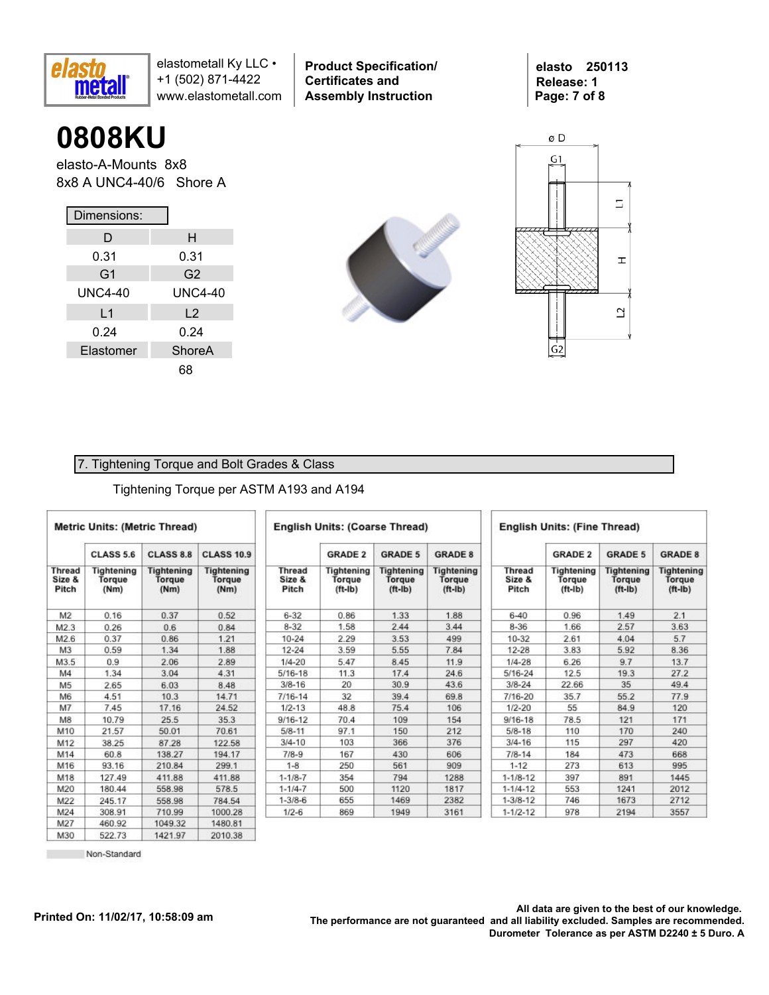

**0808KU**

elasto-A-Mounts 8x8 8x8 A UNC4-40/6 Shore A

| Dimensions:    |                |  |  |  |  |  |  |  |
|----------------|----------------|--|--|--|--|--|--|--|
| D              | н              |  |  |  |  |  |  |  |
| 0.31           | 0.31           |  |  |  |  |  |  |  |
| G <sub>1</sub> | G <sub>2</sub> |  |  |  |  |  |  |  |
| UNC4-40        | <b>UNC4-40</b> |  |  |  |  |  |  |  |
| L1             | L <sub>2</sub> |  |  |  |  |  |  |  |
| 0.24           | 0.24           |  |  |  |  |  |  |  |
| Elastomer      | <b>ShoreA</b>  |  |  |  |  |  |  |  |
|                | 68             |  |  |  |  |  |  |  |



**Product Specification/** 

**Certificates and Assembly Instruction**



 $\overline{G}2$ 

#### 7. Tightening Torque and Bolt Grades & Class

#### Tightening Torque per ASTM A193 and A194

|                           | <b>Metric Units: (Metric Thread)</b> |                                     |                                     |                                  | <b>English Units: (Coarse Thread)</b> |                                                 |                                          | <b>English Units: (Fine Thread)</b> |                                   |                                          |                                          |  |  |  |
|---------------------------|--------------------------------------|-------------------------------------|-------------------------------------|----------------------------------|---------------------------------------|-------------------------------------------------|------------------------------------------|-------------------------------------|-----------------------------------|------------------------------------------|------------------------------------------|--|--|--|
|                           | <b>CLASS 5.6</b>                     | <b>CLASS 8.8</b>                    | <b>CLASS 10.9</b>                   |                                  | <b>GRADE 2</b>                        | <b>GRADE 5</b>                                  | <b>GRADE 8</b>                           |                                     | <b>GRADE 2</b>                    | <b>GRADE 5</b>                           | <b>GRADE 8</b>                           |  |  |  |
| Thread<br>Size &<br>Pitch | Tightening<br>Torque<br>(Nm)         | <b>Tightening</b><br>Torgue<br>(Nm) | <b>Tightening</b><br>Torque<br>(Nm) | <b>Thread</b><br>Size &<br>Pitch | Tightening<br>Torque<br>$(ft-lb)$     | <b>Tightening</b><br><b>Torque</b><br>$(ft-lb)$ | <b>Tightening</b><br>Torque<br>$(ft-lb)$ | <b>Thread</b><br>Size &<br>Pitch    | Tightening<br>Torque<br>$(ft-lb)$ | <b>Tightening</b><br>Torque<br>$(ft-lb)$ | <b>Tightening</b><br>Torque<br>$(ft-lb)$ |  |  |  |
| M <sub>2</sub>            | 0.16                                 | 0.37                                | 0.52                                | $6 - 32$                         | 0.86                                  | 1.33                                            | 1.88                                     | $6 - 40$                            | 0.96                              | 1.49                                     | 2.1                                      |  |  |  |
| M2.3                      | 0.26                                 | 0.6                                 | 0.84                                | $8 - 32$                         | 1.58                                  | 2.44                                            | 3.44                                     | $8 - 36$                            | 1.66                              | 2.57                                     | 3.63                                     |  |  |  |
| M2.6                      | 0.37                                 | 0.86                                | 1.21                                | $10 - 24$                        | 2.29                                  | 3.53                                            | 499                                      | 10-32                               | 2.61                              | 4.04                                     | 5.7                                      |  |  |  |
| M <sub>3</sub>            | 0.59                                 | 1.34                                | 1.88                                | $12 - 24$                        | 3.59                                  | 5.55                                            | 7.84                                     | $12 - 28$                           | 3.83                              | 5.92                                     | 8.36                                     |  |  |  |
| M3.5                      | 0.9                                  | 2.06                                | 2.89                                | $1/4 - 20$                       | 5.47                                  | 8.45                                            | 11.9                                     | $1/4 - 28$                          | 6.26                              | 9.7                                      | 13.7                                     |  |  |  |
| M4                        | 1.34                                 | 3.04                                | 4.31                                | $5/16 - 18$                      | 11.3                                  | 17.4                                            | 24.6                                     | 5/16-24                             | 12.5                              | 19.3                                     | 27.2                                     |  |  |  |
| M <sub>5</sub>            | 2.65                                 | 6.03                                | 8.48                                | $3/8 - 16$                       | 20                                    | 30.9                                            | 43.6                                     | $3/8 - 24$                          | 22.66                             | 35                                       | 49.4                                     |  |  |  |
| M6                        | 4.51                                 | 10.3                                | 14.71                               | $7/16 - 14$                      | 32                                    | 39.4                                            | 69.8                                     | 7/16-20                             | 35.7                              | 55.2                                     | 77.9                                     |  |  |  |
| M7                        | 7.45                                 | 17.16                               | 24.52                               | $1/2 - 13$                       | 48.8                                  | 75.4                                            | 106                                      | $1/2 - 20$                          | 55                                | 84.9                                     | 120                                      |  |  |  |
| M8                        | 10.79                                | 25.5                                | 35.3                                | $9/16 - 12$                      | 70.4                                  | 109                                             | 154                                      | $9/16 - 18$                         | 78.5                              | 121                                      | 171                                      |  |  |  |
| M10                       | 21.57                                | 50.01                               | 70.61                               | $5/8 - 11$                       | 97.1                                  | 150                                             | 212                                      | $5/8 - 18$                          | 110                               | 170                                      | 240                                      |  |  |  |
| M12                       | 38.25                                | 87.28                               | 122.58                              | $3/4 - 10$                       | 103                                   | 366                                             | 376                                      | $3/4 - 16$                          | 115                               | 297                                      | 420                                      |  |  |  |
| M14                       | 60.8                                 | 138.27                              | 194.17                              | $7/8-9$                          | 167                                   | 430                                             | 606                                      | $7/8 - 14$                          | 184                               | 473                                      | 668                                      |  |  |  |
| M16                       | 93.16                                | 210.84                              | 299.1                               | $1 - 8$                          | 250                                   | 561                                             | 909                                      | $1 - 12$                            | 273                               | 613                                      | 995                                      |  |  |  |
| M18                       | 127.49                               | 411.88                              | 411.88                              | $1 - 1/8 - 7$                    | 354                                   | 794                                             | 1288                                     | $1 - 1/8 - 12$                      | 397                               | 891                                      | 1445                                     |  |  |  |
| M20                       | 180.44                               | 558.98                              | 578.5                               | $1 - 1/4 - 7$                    | 500                                   | 1120                                            | 1817                                     | $1 - 1/4 - 12$                      | 553                               | 1241                                     | 2012                                     |  |  |  |
| M22                       | 245.17                               | 558.98                              | 784.54                              | $1 - 3/8 - 6$                    | 655                                   | 1469                                            | 2382                                     | $1 - 3/8 - 12$                      | 746                               | 1673                                     | 2712                                     |  |  |  |
| M24                       | 308.91                               | 710.99                              | 1000.28                             | $1/2 - 6$                        | 869                                   | 1949                                            | 3161                                     | $1 - 1/2 - 12$                      | 978                               | 2194                                     | 3557                                     |  |  |  |
| M27                       | 460.92                               | 104932                              | 1480.81                             |                                  |                                       |                                                 |                                          |                                     |                                   |                                          |                                          |  |  |  |

522.73 Non-Standard 1421.97

2010.38

M30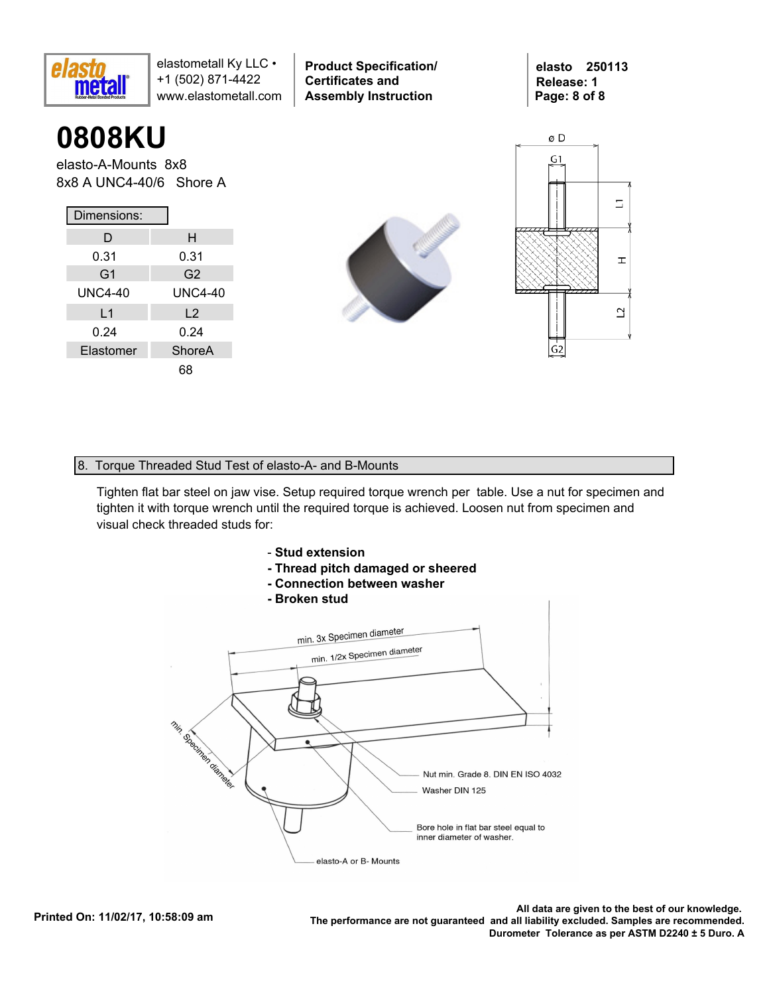

**0808KU**

elasto-A-Mounts 8x8 8x8 A UNC4-40/6 Shore A

| Dimensions:    |                |  |  |  |  |  |  |  |
|----------------|----------------|--|--|--|--|--|--|--|
| D              | н              |  |  |  |  |  |  |  |
| 0.31           | 0.31           |  |  |  |  |  |  |  |
| G <sub>1</sub> | G2             |  |  |  |  |  |  |  |
| <b>UNC4-40</b> | <b>UNC4-40</b> |  |  |  |  |  |  |  |
| L <sub>1</sub> | L <sub>2</sub> |  |  |  |  |  |  |  |
| 0.24           | 0.24           |  |  |  |  |  |  |  |
| Elastomer      | ShoreA         |  |  |  |  |  |  |  |
|                | 68             |  |  |  |  |  |  |  |



**Product Specification/** 

**Certificates and Assembly Instruction**



**elasto 250113 Release: 1**

**Page: 8 of 8**

#### 8. Torque Threaded Stud Test of elasto-A- and B-Mounts

Tighten flat bar steel on jaw vise. Setup required torque wrench per table. Use a nut for specimen and tighten it with torque wrench until the required torque is achieved. Loosen nut from specimen and visual check threaded studs for:



- **Thread pitch damaged or sheered**
- **Connection between washer**
- **Broken stud**